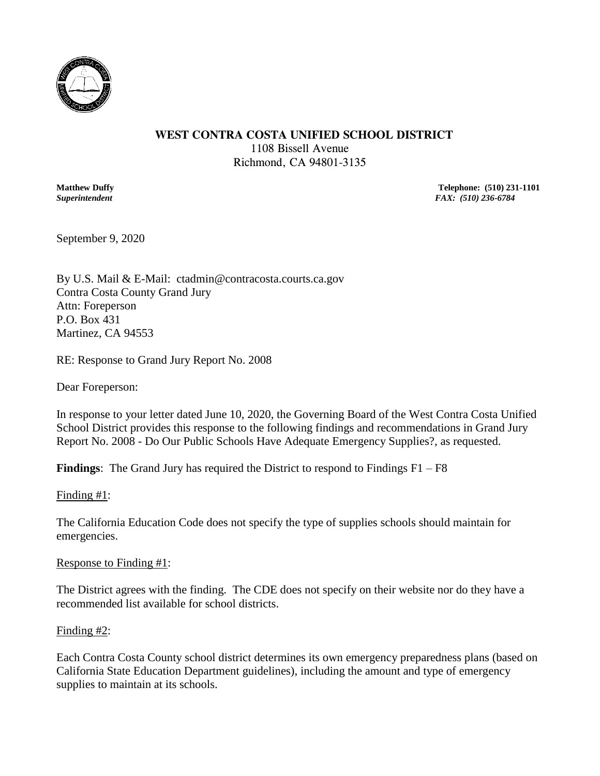

### **WEST CONTRA COSTA UNIFIED SCHOOL DISTRICT**

1108 Bissell Avenue Richmond, CA 94801-3135

**Matthew Duffy** Telephone: (510) 231-1101<br> **Superintendent** FAX: (510) 236-6784 *Superintendent FAX: (510) 236-6784*

September 9, 2020

By U.S. Mail & E-Mail: ctadmin@contracosta.courts.ca.gov Contra Costa County Grand Jury Attn: Foreperson P.O. Box 431 Martinez, CA 94553

RE: Response to Grand Jury Report No. 2008

Dear Foreperson:

In response to your letter dated June 10, 2020, the Governing Board of the West Contra Costa Unified School District provides this response to the following findings and recommendations in Grand Jury Report No. 2008 - Do Our Public Schools Have Adequate Emergency Supplies?, as requested.

**Findings**: The Grand Jury has required the District to respond to Findings F1 – F8

Finding #1:

The California Education Code does not specify the type of supplies schools should maintain for emergencies.

Response to Finding #1:

The District agrees with the finding. The CDE does not specify on their website nor do they have a recommended list available for school districts.

# Finding #2:

Each Contra Costa County school district determines its own emergency preparedness plans (based on California State Education Department guidelines), including the amount and type of emergency supplies to maintain at its schools.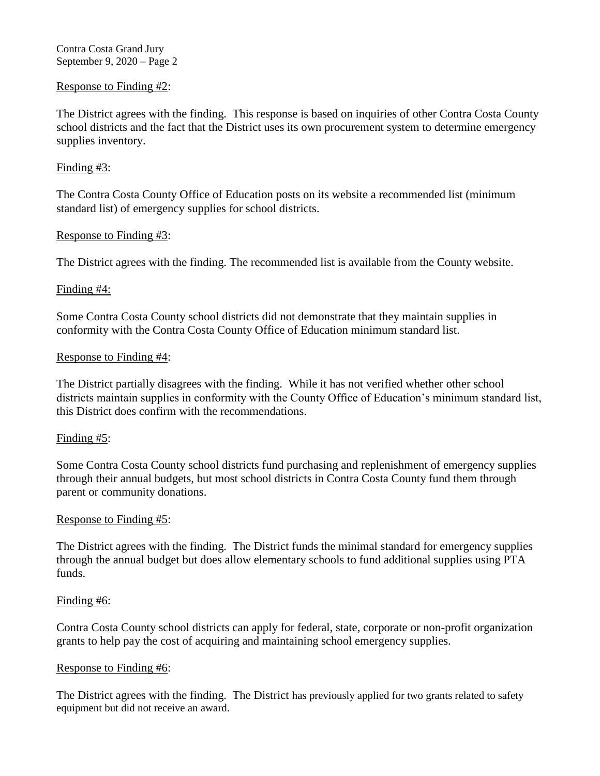Contra Costa Grand Jury September 9, 2020 – Page 2

# Response to Finding #2:

The District agrees with the finding. This response is based on inquiries of other Contra Costa County school districts and the fact that the District uses its own procurement system to determine emergency supplies inventory.

## Finding #3:

The Contra Costa County Office of Education posts on its website a recommended list (minimum standard list) of emergency supplies for school districts.

## Response to Finding #3:

The District agrees with the finding. The recommended list is available from the County website.

## Finding #4:

Some Contra Costa County school districts did not demonstrate that they maintain supplies in conformity with the Contra Costa County Office of Education minimum standard list.

### Response to Finding #4:

The District partially disagrees with the finding. While it has not verified whether other school districts maintain supplies in conformity with the County Office of Education's minimum standard list, this District does confirm with the recommendations.

# Finding #5:

Some Contra Costa County school districts fund purchasing and replenishment of emergency supplies through their annual budgets, but most school districts in Contra Costa County fund them through parent or community donations.

### Response to Finding #5:

The District agrees with the finding. The District funds the minimal standard for emergency supplies through the annual budget but does allow elementary schools to fund additional supplies using PTA funds.

### Finding #6:

Contra Costa County school districts can apply for federal, state, corporate or non-profit organization grants to help pay the cost of acquiring and maintaining school emergency supplies.

### Response to Finding #6:

The District agrees with the finding. The District has previously applied for two grants related to safety equipment but did not receive an award.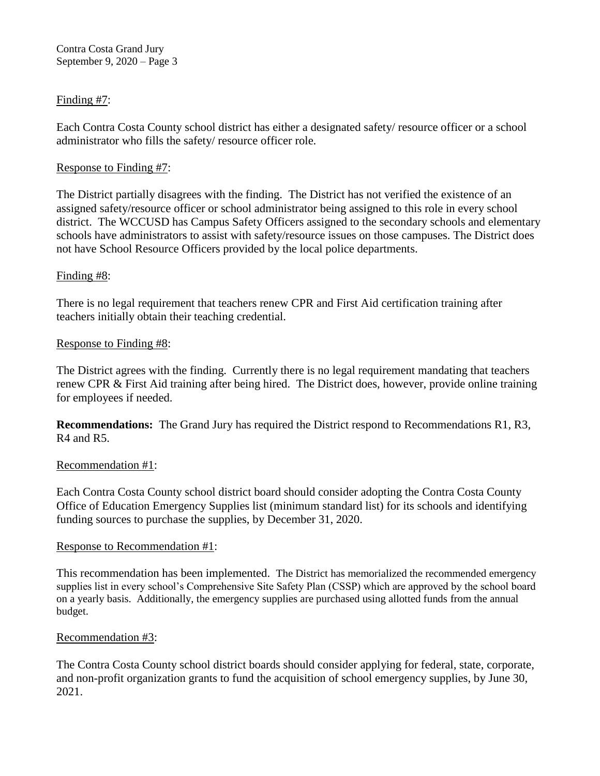Contra Costa Grand Jury September 9, 2020 – Page 3

# Finding #7:

Each Contra Costa County school district has either a designated safety/ resource officer or a school administrator who fills the safety/ resource officer role.

# Response to Finding #7:

The District partially disagrees with the finding. The District has not verified the existence of an assigned safety/resource officer or school administrator being assigned to this role in every school district. The WCCUSD has Campus Safety Officers assigned to the secondary schools and elementary schools have administrators to assist with safety/resource issues on those campuses. The District does not have School Resource Officers provided by the local police departments.

# Finding #8:

There is no legal requirement that teachers renew CPR and First Aid certification training after teachers initially obtain their teaching credential.

# Response to Finding #8:

The District agrees with the finding. Currently there is no legal requirement mandating that teachers renew CPR & First Aid training after being hired. The District does, however, provide online training for employees if needed.

**Recommendations:** The Grand Jury has required the District respond to Recommendations R1, R3, R4 and R5.

# Recommendation #1:

Each Contra Costa County school district board should consider adopting the Contra Costa County Office of Education Emergency Supplies list (minimum standard list) for its schools and identifying funding sources to purchase the supplies, by December 31, 2020.

# Response to Recommendation #1:

This recommendation has been implemented. The District has memorialized the recommended emergency supplies list in every school's Comprehensive Site Safety Plan (CSSP) which are approved by the school board on a yearly basis. Additionally, the emergency supplies are purchased using allotted funds from the annual budget.

# Recommendation #3:

The Contra Costa County school district boards should consider applying for federal, state, corporate, and non-profit organization grants to fund the acquisition of school emergency supplies, by June 30, 2021.